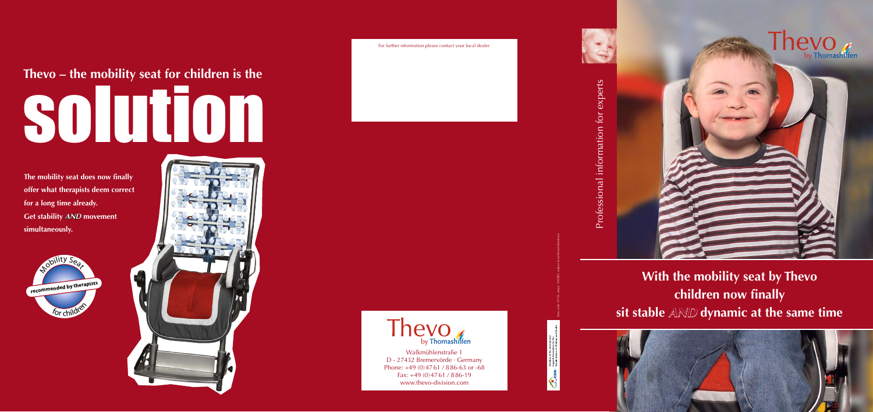### **With the mobility seat by Thevo children now finally sit stable** *AND* **dynamic at the same time**



## solution **Thevo – the mobility seat for children is the**

**The mobility seat does now finally offer what therapists deem correct for a long time already. Get stability** *AND* **movement simultaneously.**







Thevo

Item code: 95733, status: 10/2009, subject to technical alterations





Walkmühlenstraße 1 D - 27432 Bremervörde · Germany Phone: +49 (0)4761 / 886-63 or -68 Fax: +49 (0)4761 / 886-19 www.thevo-division.com

For further information please contact your local dealer.